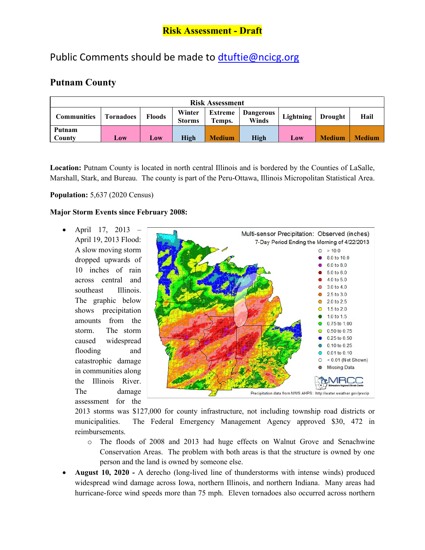# Public Comments should be made to [dtuftie@ncicg.org](mailto:dtuftie@ncicg.org)

### **Putnam County**

| <b>Risk Assessment</b> |                  |                           |                         |               |                                            |                   |               |               |
|------------------------|------------------|---------------------------|-------------------------|---------------|--------------------------------------------|-------------------|---------------|---------------|
| <b>Communities</b>     | <b>Tornadoes</b> | <b>Floods</b>             | Winter<br><b>Storms</b> | Temps.        | <b>Extreme</b>   Dangerous<br><b>Winds</b> | Lightning Drought |               | Hail          |
| Putnam<br>County       | Low              | $\mathbf{\overline{L0W}}$ | High                    | <b>Medium</b> | High                                       | Low               | <b>Medium</b> | <b>Medium</b> |

Location: Putnam County is located in north central Illinois and is bordered by the Counties of LaSalle, Marshall, Stark, and Bureau. The county is part of the Peru-Ottawa, Illinois Micropolitan Statistical Area.

#### **Population:** 5,637 (2020 Census)

#### **Major Storm Events since February 2008:**

• April 17, 2013 – April 19, 2013 Flood: A slow moving storm dropped upwards of 10 inches of rain across central and southeast Illinois. The graphic below shows precipitation amounts from the storm. The storm caused widespread flooding and catastrophic damage in communities along the Illinois River. The damage assessment for the



2013 storms was \$127,000 for county infrastructure, not including township road districts or municipalities. The Federal Emergency Management Agency approved \$30, 472 in reimbursements.

- o The floods of 2008 and 2013 had huge effects on Walnut Grove and Senachwine Conservation Areas. The problem with both areas is that the structure is owned by one person and the land is owned by someone else.
- **August 10, 2020** A derecho (long-lived line of thunderstorms with intense winds) produced widespread wind damage across Iowa, northern Illinois, and northern Indiana. Many areas had hurricane-force wind speeds more than 75 mph. Eleven tornadoes also occurred across northern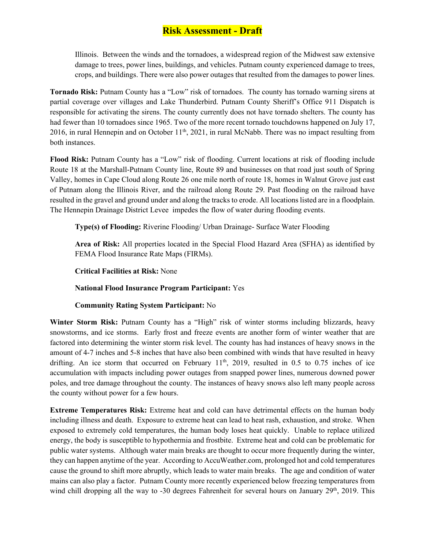Illinois. Between the winds and the tornadoes, a widespread region of the Midwest saw extensive damage to trees, power lines, buildings, and vehicles. Putnam county experienced damage to trees, crops, and buildings. There were also power outages that resulted from the damages to power lines.

**Tornado Risk:** Putnam County has a "Low" risk of tornadoes. The county has tornado warning sirens at partial coverage over villages and Lake Thunderbird. Putnam County Sheriff's Office 911 Dispatch is responsible for activating the sirens. The county currently does not have tornado shelters. The county has had fewer than 10 tornadoes since 1965. Two of the more recent tornado touchdowns happened on July 17, 2016, in rural Hennepin and on October  $11<sup>th</sup>$ , 2021, in rural McNabb. There was no impact resulting from both instances.

**Flood Risk:** Putnam County has a "Low" risk of flooding. Current locations at risk of flooding include Route 18 at the Marshall-Putnam County line, Route 89 and businesses on that road just south of Spring Valley, homes in Cape Cloud along Route 26 one mile north of route 18, homes in Walnut Grove just east of Putnam along the Illinois River, and the railroad along Route 29. Past flooding on the railroad have resulted in the gravel and ground under and along the tracks to erode. All locations listed are in a floodplain. The Hennepin Drainage District Levee impedes the flow of water during flooding events.

**Type(s) of Flooding:** Riverine Flooding/ Urban Drainage- Surface Water Flooding

**Area of Risk:** All properties located in the Special Flood Hazard Area (SFHA) as identified by FEMA Flood Insurance Rate Maps (FIRMs).

**Critical Facilities at Risk:** None

### **National Flood Insurance Program Participant:** Yes

### **Community Rating System Participant:** No

**Winter Storm Risk:** Putnam County has a "High" risk of winter storms including blizzards, heavy snowstorms, and ice storms. Early frost and freeze events are another form of winter weather that are factored into determining the winter storm risk level. The county has had instances of heavy snows in the amount of 4-7 inches and 5-8 inches that have also been combined with winds that have resulted in heavy drifting. An ice storm that occurred on February  $11<sup>th</sup>$ , 2019, resulted in 0.5 to 0.75 inches of ice accumulation with impacts including power outages from snapped power lines, numerous downed power poles, and tree damage throughout the county. The instances of heavy snows also left many people across the county without power for a few hours.

**Extreme Temperatures Risk:** Extreme heat and cold can have detrimental effects on the human body including illness and death. Exposure to extreme heat can lead to heat rash, exhaustion, and stroke. When exposed to extremely cold temperatures, the human body loses heat quickly. Unable to replace utilized energy, the body is susceptible to hypothermia and frostbite. Extreme heat and cold can be problematic for public water systems. Although water main breaks are thought to occur more frequently during the winter, they can happen anytime of the year. According to AccuWeather.com, prolonged hot and cold temperatures cause the ground to shift more abruptly, which leads to water main breaks. The age and condition of water mains can also play a factor. Putnam County more recently experienced below freezing temperatures from wind chill dropping all the way to -30 degrees Fahrenheit for several hours on January 29<sup>th</sup>, 2019. This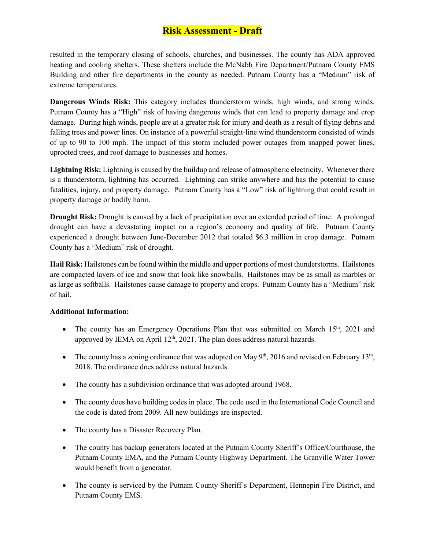resulted in the temporary closing of schools, churches, and businesses. The county has ADA approved heating and cooling shelters. These shelters include the McNabb Fire Department/Putnam County EMS Building and other fire departments in the county as needed. Putnam County has a "Medium" risk of extreme temperatures.

**Dangerous Winds Risk:** This category includes thunderstorm winds, high winds, and strong winds. Putnam County has a "High" risk of having dangerous winds that can lead to property damage and crop damage. During high winds, people are at a greater risk for injury and death as a result of flying debris and falling trees and power lines. On instance of a powerful straight-line wind thunderstorm consisted of winds of up to 90 to 100 mph. The impact of this storm included power outages from snapped power lines, uprooted trees, and roof damage to businesses and homes.

**Lightning Risk:** Lightning is caused by the buildup and release of atmospheric electricity. Whenever there is a thunderstorm, lightning has occurred. Lightning can strike anywhere and has the potential to cause fatalities, injury, and property damage. Putnam County has a "Low" risk of lightning that could result in property damage or bodily harm.

**Drought Risk:** Drought is caused by a lack of precipitation over an extended period of time.A prolonged drought can have a devastating impact on a region's economy and quality of life. Putnam County experienced a drought between June-December 2012 that totaled \$6.3 million in crop damage. Putnam County has a "Medium" risk of drought.

**Hail Risk:** Hailstones can be found within the middle and upper portions of most thunderstorms. Hailstones are compacted layers of ice and snow that look like snowballs. Hailstones may be as small as marbles or as large as softballs. Hailstones cause damage to property and crops. Putnam County has a "Medium" risk of hail.

### **Additional Information:**

- The county has an Emergency Operations Plan that was submitted on March  $15<sup>th</sup>$ , 2021 and approved by IEMA on April  $12<sup>th</sup>$ , 2021. The plan does address natural hazards.
- The county has a zoning ordinance that was adopted on May  $9<sup>th</sup>$ , 2016 and revised on February 13<sup>th</sup>, 2018. The ordinance does address natural hazards.
- The county has a subdivision ordinance that was adopted around 1968.
- The county does have building codes in place. The code used in the International Code Council and the code is dated from 2009. All new buildings are inspected.
- The county has a Disaster Recovery Plan.
- The county has backup generators located at the Putnam County Sheriff's Office/Courthouse, the Putnam County EMA, and the Putnam County Highway Department. The Granville Water Tower would benefit from a generator.
- The county is serviced by the Putnam County Sheriff's Department, Hennepin Fire District, and Putnam County EMS.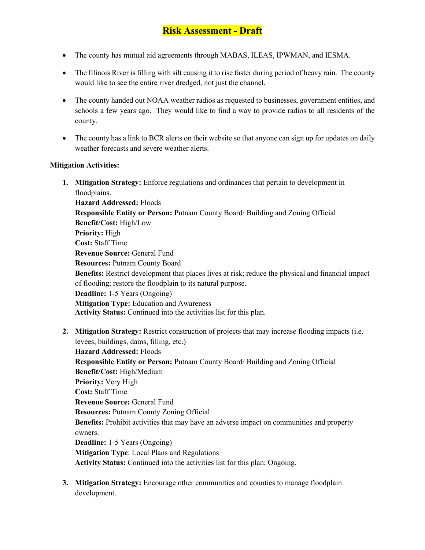- The county has mutual aid agreements through MABAS, ILEAS, IPWMAN, and IESMA.
- The Illinois River is filling with silt causing it to rise faster during period of heavy rain. The county would like to see the entire river dredged, not just the channel.
- The county handed out NOAA weather radios as requested to businesses, government entities, and schools a few years ago. They would like to find a way to provide radios to all residents of the county.
- The county has a link to BCR alerts on their website so that anyone can sign up for updates on daily weather forecasts and severe weather alerts.

#### **Mitigation Activities:**

- **1. Mitigation Strategy:** Enforce regulations and ordinances that pertain to development in floodplains. **Hazard Addressed:** Floods **Responsible Entity or Person:** Putnam County Board/ Building and Zoning Official **Benefit/Cost:** High/Low **Priority:** High **Cost:** Staff Time **Revenue Source:** General Fund **Resources:** Putnam County Board **Benefits:** Restrict development that places lives at risk; reduce the physical and financial impact of flooding; restore the floodplain to its natural purpose. **Deadline:** 1-5 Years (Ongoing) **Mitigation Type:** Education and Awareness **Activity Status:** Continued into the activities list for this plan.
- **2. Mitigation Strategy:** Restrict construction of projects that may increase flooding impacts (i.e. levees, buildings, dams, filling, etc.) **Hazard Addressed:** Floods **Responsible Entity or Person:** Putnam County Board/ Building and Zoning Official **Benefit/Cost:** High/Medium **Priority:** Very High **Cost:** Staff Time **Revenue Source:** General Fund **Resources:** Putnam County Zoning Official **Benefits:** Prohibit activities that may have an adverse impact on communities and property owners. **Deadline:** 1-5 Years (Ongoing) **Mitigation Type**: Local Plans and Regulations **Activity Status:** Continued into the activities list for this plan; Ongoing.
- **3. Mitigation Strategy:** Encourage other communities and counties to manage floodplain development.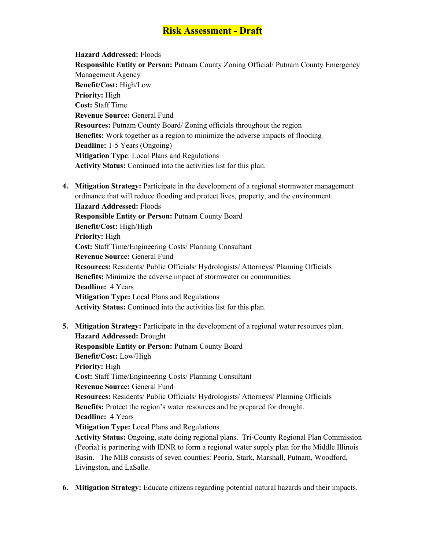**Hazard Addressed:** Floods **Responsible Entity or Person:** Putnam County Zoning Official/ Putnam County Emergency Management Agency **Benefit/Cost:** High/Low **Priority:** High **Cost:** Staff Time **Revenue Source:** General Fund **Resources:** Putnam County Board/ Zoning officials throughout the region **Benefits:** Work together as a region to minimize the adverse impacts of flooding **Deadline:** 1-5 Years (Ongoing) **Mitigation Type**: Local Plans and Regulations **Activity Status:** Continued into the activities list for this plan.

**4. Mitigation Strategy:** Participate in the development of a regional stormwater management ordinance that will reduce flooding and protect lives, property, and the environment.

**Hazard Addressed:** Floods **Responsible Entity or Person:** Putnam County Board **Benefit/Cost:** High/High **Priority:** High **Cost:** Staff Time/Engineering Costs/ Planning Consultant **Revenue Source:** General Fund **Resources:** Residents/ Public Officials/ Hydrologists/ Attorneys/ Planning Officials **Benefits:** Minimize the adverse impact of stormwater on communities. **Deadline:** 4 Years **Mitigation Type:** Local Plans and Regulations **Activity Status:** Continued into the activities list for this plan.

- **5. Mitigation Strategy:** Participate in the development of a regional water resources plan. **Hazard Addressed:** Drought **Responsible Entity or Person:** Putnam County Board **Benefit/Cost:** Low/High **Priority:** High **Cost:** Staff Time/Engineering Costs/ Planning Consultant **Revenue Source:** General Fund **Resources:** Residents/ Public Officials/ Hydrologists/ Attorneys/ Planning Officials **Benefits:** Protect the region's water resources and be prepared for drought. **Deadline:** 4 Years **Mitigation Type:** Local Plans and Regulations **Activity Status:** Ongoing, state doing regional plans. Tri-County Regional Plan Commission (Peoria) is partnering with IDNR to form a regional water supply plan for the Middle Illinois Basin. The MIB consists of seven counties: Peoria, Stark, Marshall, Putnam, Woodford, Livingston, and LaSalle.
- **6. Mitigation Strategy:** Educate citizens regarding potential natural hazards and their impacts.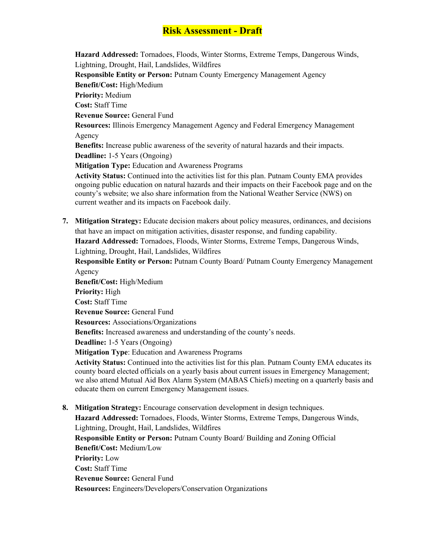**Hazard Addressed:** Tornadoes, Floods, Winter Storms, Extreme Temps, Dangerous Winds, Lightning, Drought, Hail, Landslides, Wildfires **Responsible Entity or Person:** Putnam County Emergency Management Agency **Benefit/Cost:** High/Medium **Priority:** Medium **Cost:** Staff Time **Revenue Source:** General Fund **Resources:** Illinois Emergency Management Agency and Federal Emergency Management Agency **Benefits:** Increase public awareness of the severity of natural hazards and their impacts. **Deadline:** 1-5 Years (Ongoing) **Mitigation Type:** Education and Awareness Programs **Activity Status:** Continued into the activities list for this plan. Putnam County EMA provides

ongoing public education on natural hazards and their impacts on their Facebook page and on the county's website; we also share information from the National Weather Service (NWS) on current weather and its impacts on Facebook daily.

**7. Mitigation Strategy:** Educate decision makers about policy measures, ordinances, and decisions that have an impact on mitigation activities, disaster response, and funding capability.

**Hazard Addressed:** Tornadoes, Floods, Winter Storms, Extreme Temps, Dangerous Winds, Lightning, Drought, Hail, Landslides, Wildfires

**Responsible Entity or Person:** Putnam County Board/ Putnam County Emergency Management Agency

**Benefit/Cost:** High/Medium **Priority:** High **Cost:** Staff Time **Revenue Source:** General Fund **Resources:** Associations/Organizations **Benefits:** Increased awareness and understanding of the county's needs. **Deadline:** 1-5 Years (Ongoing) **Mitigation Type**: Education and Awareness Programs

**Activity Status:** Continued into the activities list for this plan. Putnam County EMA educates its county board elected officials on a yearly basis about current issues in Emergency Management; we also attend Mutual Aid Box Alarm System (MABAS Chiefs) meeting on a quarterly basis and educate them on current Emergency Management issues.

**8. Mitigation Strategy:** Encourage conservation development in design techniques. **Hazard Addressed:** Tornadoes, Floods, Winter Storms, Extreme Temps, Dangerous Winds, Lightning, Drought, Hail, Landslides, Wildfires **Responsible Entity or Person:** Putnam County Board/ Building and Zoning Official **Benefit/Cost:** Medium/Low **Priority:** Low **Cost:** Staff Time **Revenue Source:** General Fund **Resources:** Engineers/Developers/Conservation Organizations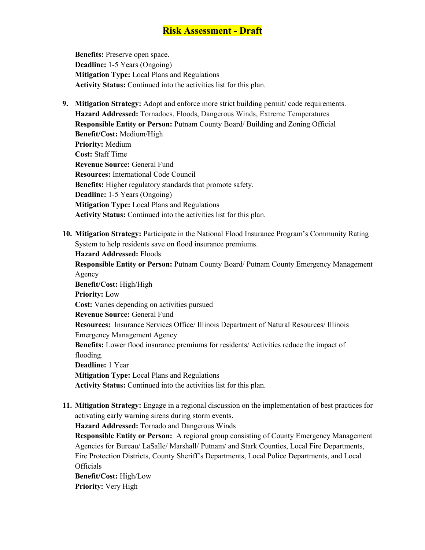**Benefits:** Preserve open space. **Deadline:** 1-5 Years (Ongoing) **Mitigation Type:** Local Plans and Regulations **Activity Status:** Continued into the activities list for this plan.

- **9. Mitigation Strategy:** Adopt and enforce more strict building permit/ code requirements. **Hazard Addressed:** Tornadoes, Floods, Dangerous Winds, Extreme Temperatures **Responsible Entity or Person:** Putnam County Board/ Building and Zoning Official **Benefit/Cost:** Medium/High **Priority:** Medium **Cost:** Staff Time **Revenue Source:** General Fund **Resources:** International Code Council **Benefits:** Higher regulatory standards that promote safety. **Deadline:** 1-5 Years (Ongoing) **Mitigation Type:** Local Plans and Regulations **Activity Status:** Continued into the activities list for this plan.
- **10. Mitigation Strategy:** Participate in the National Flood Insurance Program's Community Rating System to help residents save on flood insurance premiums. **Hazard Addressed:** Floods **Responsible Entity or Person:** Putnam County Board/ Putnam County Emergency Management Agency **Benefit/Cost:** High/High **Priority:** Low **Cost:** Varies depending on activities pursued

**Revenue Source:** General Fund

**Resources:** Insurance Services Office/ Illinois Department of Natural Resources/ Illinois Emergency Management Agency

**Benefits:** Lower flood insurance premiums for residents/ Activities reduce the impact of flooding.

**Deadline:** 1 Year

**Mitigation Type:** Local Plans and Regulations

**Activity Status:** Continued into the activities list for this plan.

**11. Mitigation Strategy:** Engage in a regional discussion on the implementation of best practices for activating early warning sirens during storm events.

**Hazard Addressed:** Tornado and Dangerous Winds

**Responsible Entity or Person:** A regional group consisting of County Emergency Management Agencies for Bureau/ LaSalle/ Marshall/ Putnam/ and Stark Counties, Local Fire Departments, Fire Protection Districts, County Sheriff's Departments, Local Police Departments, and Local **Officials** 

**Benefit/Cost:** High/Low **Priority:** Very High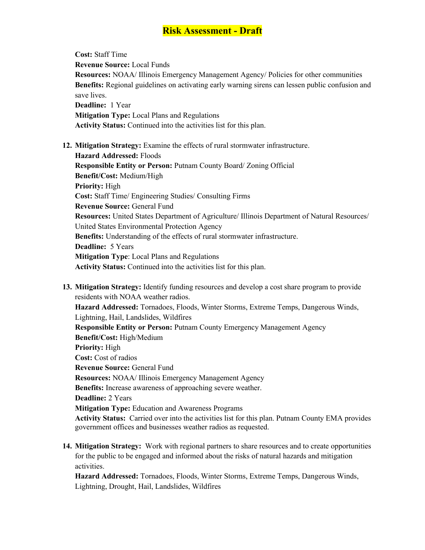**Cost:** Staff Time **Revenue Source:** Local Funds **Resources:** NOAA/ Illinois Emergency Management Agency/ Policies for other communities **Benefits:** Regional guidelines on activating early warning sirens can lessen public confusion and save lives. **Deadline:** 1 Year **Mitigation Type:** Local Plans and Regulations **Activity Status:** Continued into the activities list for this plan.

**12. Mitigation Strategy:** Examine the effects of rural stormwater infrastructure.

**Hazard Addressed:** Floods **Responsible Entity or Person:** Putnam County Board/ Zoning Official **Benefit/Cost:** Medium/High **Priority:** High **Cost:** Staff Time/ Engineering Studies/ Consulting Firms **Revenue Source:** General Fund **Resources:** United States Department of Agriculture/ Illinois Department of Natural Resources/ United States Environmental Protection Agency **Benefits:** Understanding of the effects of rural stormwater infrastructure. **Deadline:** 5 Years **Mitigation Type**: Local Plans and Regulations **Activity Status:** Continued into the activities list for this plan.

- **13. Mitigation Strategy:** Identify funding resources and develop a cost share program to provide residents with NOAA weather radios. **Hazard Addressed:** Tornadoes, Floods, Winter Storms, Extreme Temps, Dangerous Winds, Lightning, Hail, Landslides, Wildfires **Responsible Entity or Person:** Putnam County Emergency Management Agency **Benefit/Cost:** High/Medium **Priority:** High **Cost:** Cost of radios **Revenue Source:** General Fund **Resources:** NOAA/ Illinois Emergency Management Agency **Benefits:** Increase awareness of approaching severe weather. **Deadline:** 2 Years **Mitigation Type:** Education and Awareness Programs **Activity Status:** Carried over into the activities list for this plan. Putnam County EMA provides government offices and businesses weather radios as requested.
- **14. Mitigation Strategy:** Work with regional partners to share resources and to create opportunities for the public to be engaged and informed about the risks of natural hazards and mitigation activities.

**Hazard Addressed:** Tornadoes, Floods, Winter Storms, Extreme Temps, Dangerous Winds, Lightning, Drought, Hail, Landslides, Wildfires